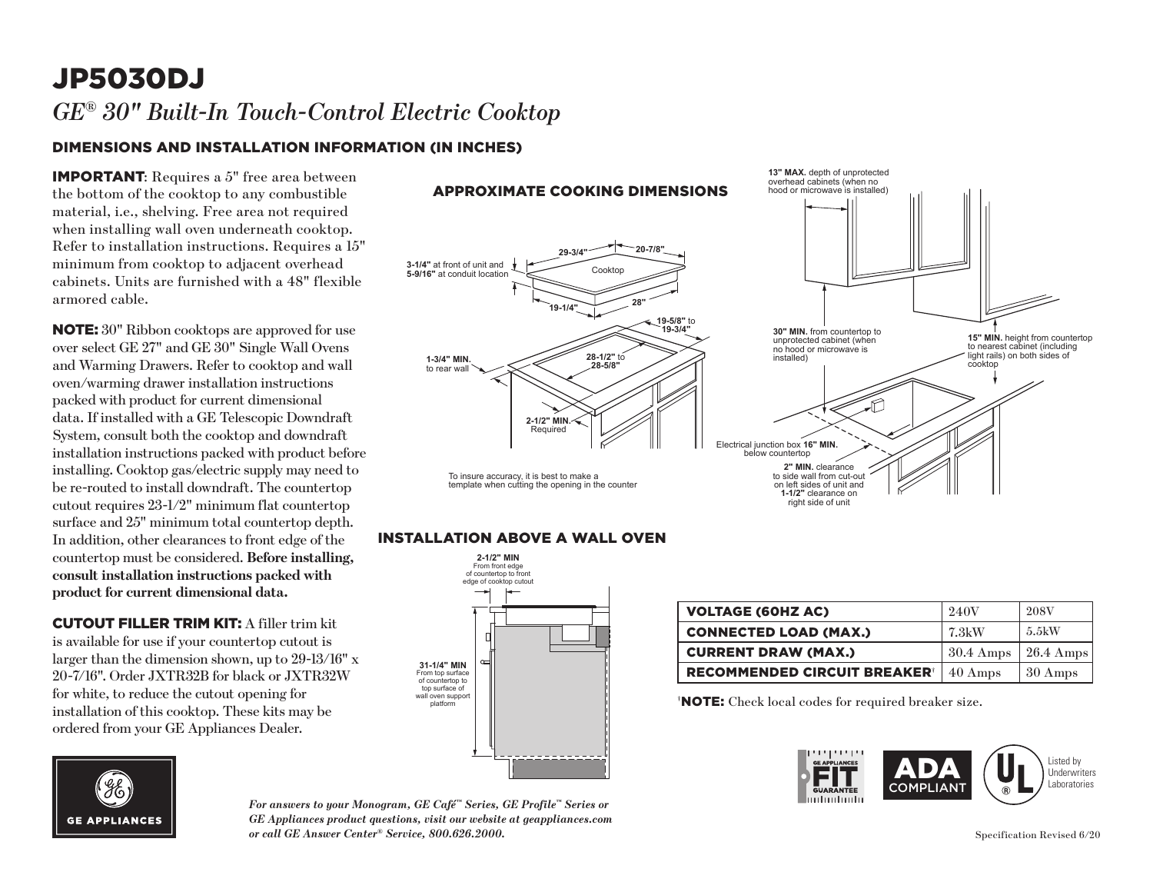### JP5030DJ *GE® 30" Built-In Touch-Control Electric Cooktop*

### DIMENSIONS AND INSTALLATION INFORMATION (IN INCHES)

IMPORTANT: Requires a 5" free area between the bottom of the cooktop to any combustible material, i.e., shelving. Free area not required when installing wall oven underneath cooktop. Refer to installation instructions. Requires a 15" minimum from cooktop to adjacent overhead cabinets. Units are furnished with a 48" flexible armored cable.

NOTE: 30" Ribbon cooktops are approved for use over select GE 27" and GE 30" Single Wall Ovens and Warming Drawers. Refer to cooktop and wall oven/warming drawer installation instructions packed with product for current dimensional data. If installed with a GE Telescopic Downdraft System, consult both the cooktop and downdraft installation instructions packed with product before installing. Cooktop gas/electric supply may need to be re-routed to install downdraft. The countertop cutout requires 23-1/2" minimum flat countertop surface and 25" minimum total countertop depth. In addition, other clearances to front edge of the countertop must be considered. **Before installing, consult installation instructions packed with product for current dimensional data.**

CUTOUT FILLER TRIM KIT: A filler trim kit is available for use if your countertop cutout is larger than the dimension shown, up to 29-13/16" x 20-7/16". Order JXTR32B for black or JXTR32W for white, to reduce the cutout opening for installation of this cooktop. These kits may be ordered from your GE Appliances Dealer.



*For answers to your Monogram, GE Café™ Series, GE Profile™ Series or GE Appliances product questions, visit our website at geappliances.com or call GE Answer Center® Service, 800.626.2000.*



#### **INSTALLATION ABOVE A WALL OVEN**



| <b>VOLTAGE (60HZ AC)</b>            | 240V                | <b>208V</b>         |
|-------------------------------------|---------------------|---------------------|
| <b>CONNECTED LOAD (MAX.)</b>        | 7.3kW               | 5.5kW               |
| <b>CURRENT DRAW (MAX.)</b>          | $30.4 \text{ Amps}$ | $26.4 \text{ Amps}$ |
| <b>RECOMMENDED CIRCUIT BREAKER®</b> | $40 \text{ Amps}$   | 30 Amps             |

† NOTE: Check local codes for required breaker size.